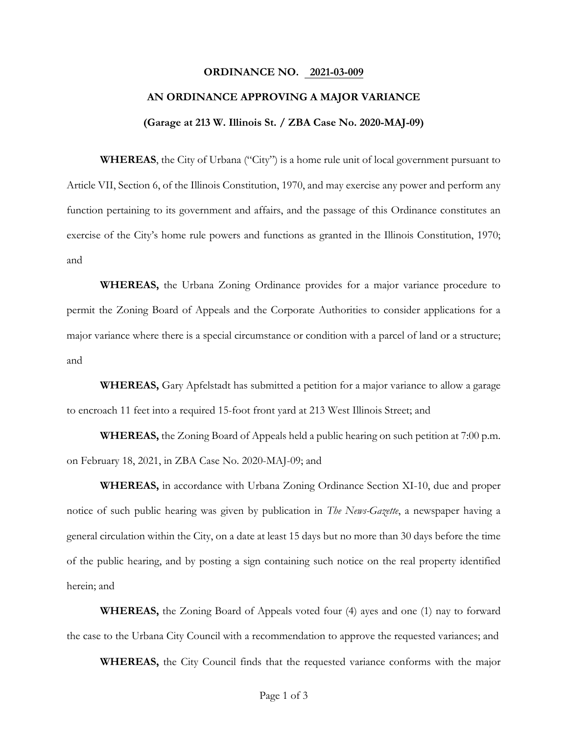### **ORDINANCE NO. 2021-03-009**

## **AN ORDINANCE APPROVING A MAJOR VARIANCE**

#### **(Garage at 213 W. Illinois St. / ZBA Case No. 2020-MAJ-09)**

**WHEREAS**, the City of Urbana ("City") is a home rule unit of local government pursuant to Article VII, Section 6, of the Illinois Constitution, 1970, and may exercise any power and perform any function pertaining to its government and affairs, and the passage of this Ordinance constitutes an exercise of the City's home rule powers and functions as granted in the Illinois Constitution, 1970; and

**WHEREAS,** the Urbana Zoning Ordinance provides for a major variance procedure to permit the Zoning Board of Appeals and the Corporate Authorities to consider applications for a major variance where there is a special circumstance or condition with a parcel of land or a structure; and

**WHEREAS,** Gary Apfelstadt has submitted a petition for a major variance to allow a garage to encroach 11 feet into a required 15-foot front yard at 213 West Illinois Street; and

**WHEREAS,** the Zoning Board of Appeals held a public hearing on such petition at 7:00 p.m. on February 18, 2021, in ZBA Case No. 2020-MAJ-09; and

**WHEREAS,** in accordance with Urbana Zoning Ordinance Section XI-10, due and proper notice of such public hearing was given by publication in *The News-Gazette*, a newspaper having a general circulation within the City, on a date at least 15 days but no more than 30 days before the time of the public hearing, and by posting a sign containing such notice on the real property identified herein; and

**WHEREAS,** the Zoning Board of Appeals voted four (4) ayes and one (1) nay to forward the case to the Urbana City Council with a recommendation to approve the requested variances; and

**WHEREAS,** the City Council finds that the requested variance conforms with the major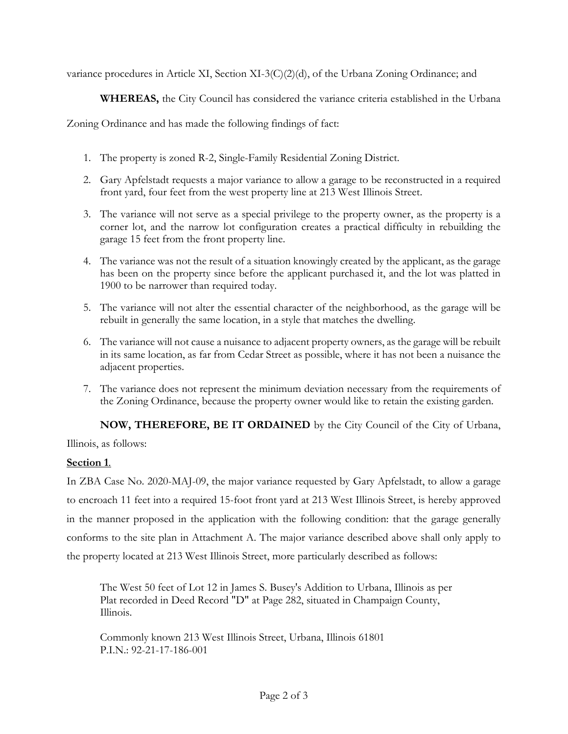variance procedures in Article XI, Section XI-3(C)(2)(d), of the Urbana Zoning Ordinance; and

 **WHEREAS,** the City Council has considered the variance criteria established in the Urbana

Zoning Ordinance and has made the following findings of fact:

- 1. The property is zoned R-2, Single-Family Residential Zoning District.
- 2. Gary Apfelstadt requests a major variance to allow a garage to be reconstructed in a required front yard, four feet from the west property line at 213 West Illinois Street.
- 3. The variance will not serve as a special privilege to the property owner, as the property is a corner lot, and the narrow lot configuration creates a practical difficulty in rebuilding the garage 15 feet from the front property line.
- 4. The variance was not the result of a situation knowingly created by the applicant, as the garage has been on the property since before the applicant purchased it, and the lot was platted in 1900 to be narrower than required today.
- 5. The variance will not alter the essential character of the neighborhood, as the garage will be rebuilt in generally the same location, in a style that matches the dwelling.
- 6. The variance will not cause a nuisance to adjacent property owners, as the garage will be rebuilt in its same location, as far from Cedar Street as possible, where it has not been a nuisance the adjacent properties.
- 7. The variance does not represent the minimum deviation necessary from the requirements of the Zoning Ordinance, because the property owner would like to retain the existing garden.

**NOW, THEREFORE, BE IT ORDAINED** by the City Council of the City of Urbana,

Illinois, as follows:

# **Section 1**.

In ZBA Case No. 2020-MAJ-09, the major variance requested by Gary Apfelstadt, to allow a garage to encroach 11 feet into a required 15-foot front yard at 213 West Illinois Street, is hereby approved in the manner proposed in the application with the following condition: that the garage generally conforms to the site plan in Attachment A. The major variance described above shall only apply to the property located at 213 West Illinois Street, more particularly described as follows:

The West 50 feet of Lot 12 in James S. Busey's Addition to Urbana, Illinois as per Plat recorded in Deed Record "D" at Page 282, situated in Champaign County, Illinois.

Commonly known 213 West Illinois Street, Urbana, Illinois 61801 P.I.N.: 92-21-17-186-001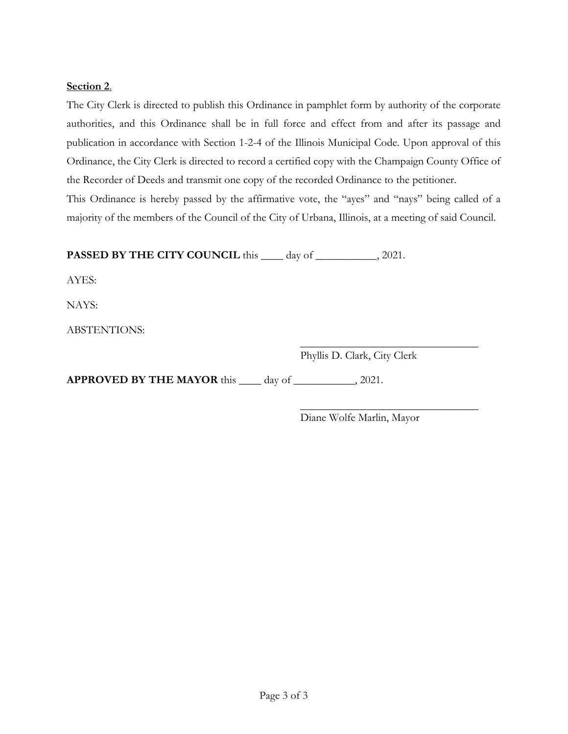## **Section 2**.

The City Clerk is directed to publish this Ordinance in pamphlet form by authority of the corporate authorities, and this Ordinance shall be in full force and effect from and after its passage and publication in accordance with Section 1-2-4 of the Illinois Municipal Code. Upon approval of this Ordinance, the City Clerk is directed to record a certified copy with the Champaign County Office of the Recorder of Deeds and transmit one copy of the recorded Ordinance to the petitioner.

This Ordinance is hereby passed by the affirmative vote, the "ayes" and "nays" being called of a majority of the members of the Council of the City of Urbana, Illinois, at a meeting of said Council.

**PASSED BY THE CITY COUNCIL** this \_\_\_\_ day of \_\_\_\_\_\_\_\_\_, 2021.

AYES:

NAYS:

ABSTENTIONS:

 $\frac{1}{\sqrt{2}}$  ,  $\frac{1}{\sqrt{2}}$  ,  $\frac{1}{\sqrt{2}}$  ,  $\frac{1}{\sqrt{2}}$  ,  $\frac{1}{\sqrt{2}}$  ,  $\frac{1}{\sqrt{2}}$  ,  $\frac{1}{\sqrt{2}}$  ,  $\frac{1}{\sqrt{2}}$  ,  $\frac{1}{\sqrt{2}}$  ,  $\frac{1}{\sqrt{2}}$  ,  $\frac{1}{\sqrt{2}}$  ,  $\frac{1}{\sqrt{2}}$  ,  $\frac{1}{\sqrt{2}}$  ,  $\frac{1}{\sqrt{2}}$  ,  $\frac{1}{\sqrt{2}}$ Phyllis D. Clark, City Clerk

**APPROVED BY THE MAYOR** this \_\_\_\_ day of \_\_\_\_\_\_\_\_\_\_\_, 2021.

 $\frac{1}{\sqrt{2}}$  ,  $\frac{1}{\sqrt{2}}$  ,  $\frac{1}{\sqrt{2}}$  ,  $\frac{1}{\sqrt{2}}$  ,  $\frac{1}{\sqrt{2}}$  ,  $\frac{1}{\sqrt{2}}$  ,  $\frac{1}{\sqrt{2}}$  ,  $\frac{1}{\sqrt{2}}$  ,  $\frac{1}{\sqrt{2}}$  ,  $\frac{1}{\sqrt{2}}$  ,  $\frac{1}{\sqrt{2}}$  ,  $\frac{1}{\sqrt{2}}$  ,  $\frac{1}{\sqrt{2}}$  ,  $\frac{1}{\sqrt{2}}$  ,  $\frac{1}{\sqrt{2}}$ Diane Wolfe Marlin, Mayor